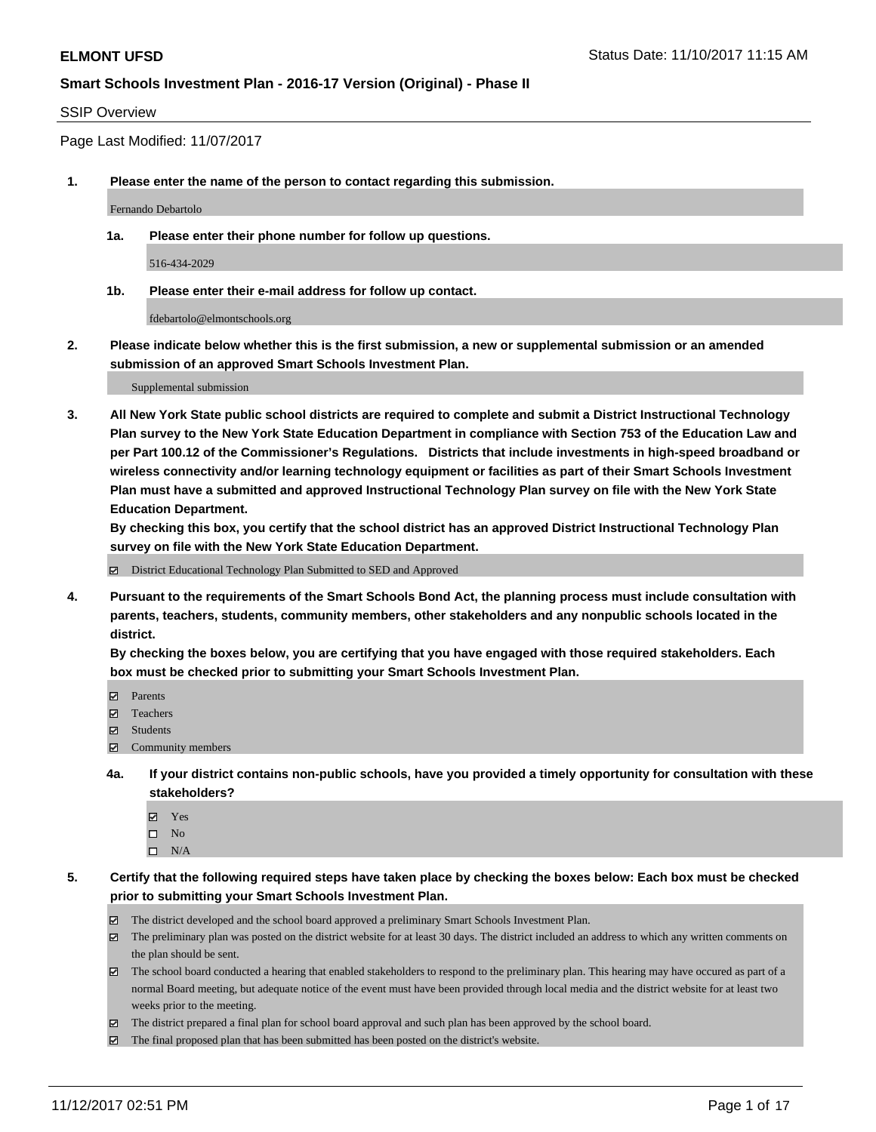#### SSIP Overview

Page Last Modified: 11/07/2017

**1. Please enter the name of the person to contact regarding this submission.**

Fernando Debartolo

**1a. Please enter their phone number for follow up questions.**

516-434-2029

**1b. Please enter their e-mail address for follow up contact.**

fdebartolo@elmontschools.org

**2. Please indicate below whether this is the first submission, a new or supplemental submission or an amended submission of an approved Smart Schools Investment Plan.**

Supplemental submission

**3. All New York State public school districts are required to complete and submit a District Instructional Technology Plan survey to the New York State Education Department in compliance with Section 753 of the Education Law and per Part 100.12 of the Commissioner's Regulations. Districts that include investments in high-speed broadband or wireless connectivity and/or learning technology equipment or facilities as part of their Smart Schools Investment Plan must have a submitted and approved Instructional Technology Plan survey on file with the New York State Education Department.** 

**By checking this box, you certify that the school district has an approved District Instructional Technology Plan survey on file with the New York State Education Department.**

District Educational Technology Plan Submitted to SED and Approved

**4. Pursuant to the requirements of the Smart Schools Bond Act, the planning process must include consultation with parents, teachers, students, community members, other stakeholders and any nonpublic schools located in the district.** 

**By checking the boxes below, you are certifying that you have engaged with those required stakeholders. Each box must be checked prior to submitting your Smart Schools Investment Plan.**

- **マ** Parents
- Teachers
- **☑** Students
- $\Xi$  Community members
- **4a. If your district contains non-public schools, have you provided a timely opportunity for consultation with these stakeholders?**
	- **Ø** Yes
	- $\square$  No
	- $\square$  N/A

**5. Certify that the following required steps have taken place by checking the boxes below: Each box must be checked prior to submitting your Smart Schools Investment Plan.**

- The district developed and the school board approved a preliminary Smart Schools Investment Plan.
- The preliminary plan was posted on the district website for at least 30 days. The district included an address to which any written comments on the plan should be sent.
- The school board conducted a hearing that enabled stakeholders to respond to the preliminary plan. This hearing may have occured as part of a normal Board meeting, but adequate notice of the event must have been provided through local media and the district website for at least two weeks prior to the meeting.
- The district prepared a final plan for school board approval and such plan has been approved by the school board.
- $\boxtimes$  The final proposed plan that has been submitted has been posted on the district's website.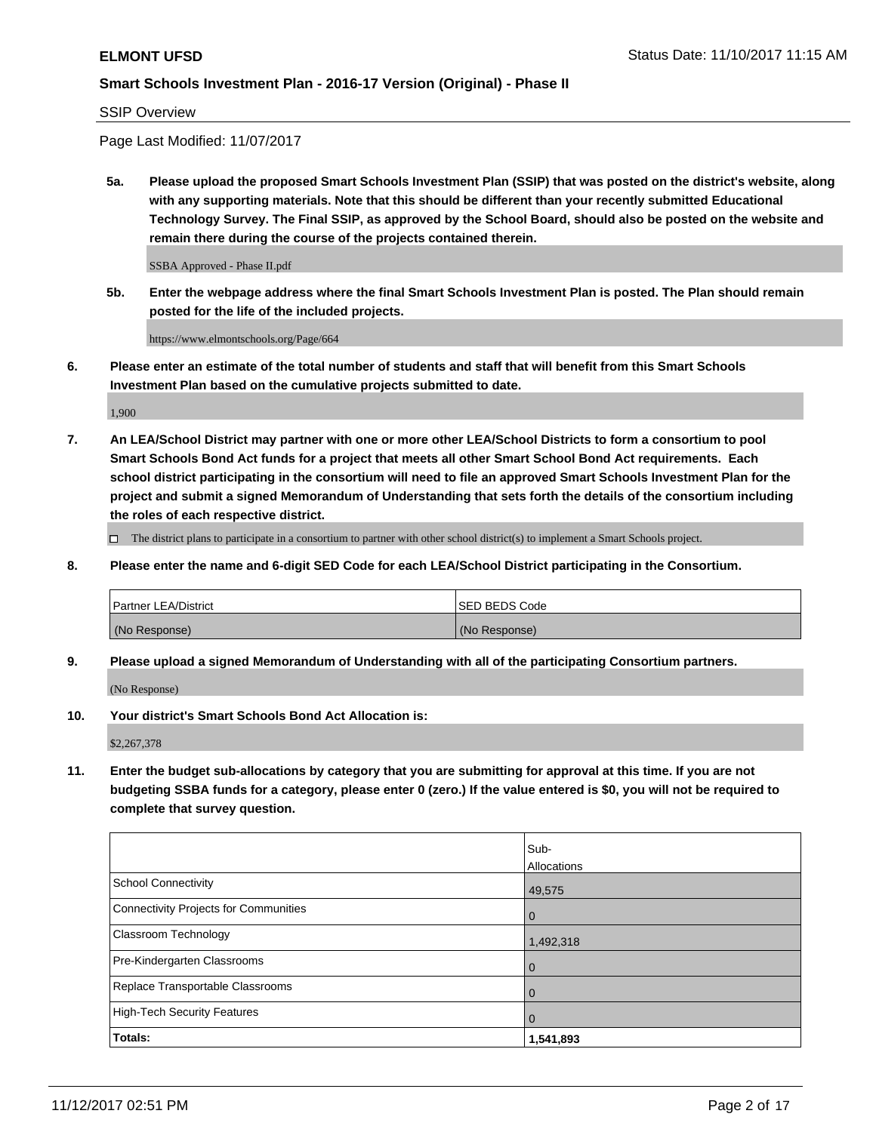SSIP Overview

Page Last Modified: 11/07/2017

**5a. Please upload the proposed Smart Schools Investment Plan (SSIP) that was posted on the district's website, along with any supporting materials. Note that this should be different than your recently submitted Educational Technology Survey. The Final SSIP, as approved by the School Board, should also be posted on the website and remain there during the course of the projects contained therein.**

SSBA Approved - Phase II.pdf

**5b. Enter the webpage address where the final Smart Schools Investment Plan is posted. The Plan should remain posted for the life of the included projects.**

https://www.elmontschools.org/Page/664

**6. Please enter an estimate of the total number of students and staff that will benefit from this Smart Schools Investment Plan based on the cumulative projects submitted to date.**

1,900

**7. An LEA/School District may partner with one or more other LEA/School Districts to form a consortium to pool Smart Schools Bond Act funds for a project that meets all other Smart School Bond Act requirements. Each school district participating in the consortium will need to file an approved Smart Schools Investment Plan for the project and submit a signed Memorandum of Understanding that sets forth the details of the consortium including the roles of each respective district.**

 $\Box$  The district plans to participate in a consortium to partner with other school district(s) to implement a Smart Schools project.

**8. Please enter the name and 6-digit SED Code for each LEA/School District participating in the Consortium.**

| <b>Partner LEA/District</b> | <b>ISED BEDS Code</b> |
|-----------------------------|-----------------------|
| (No Response)               | (No Response)         |

**9. Please upload a signed Memorandum of Understanding with all of the participating Consortium partners.**

(No Response)

**10. Your district's Smart Schools Bond Act Allocation is:**

\$2,267,378

**11. Enter the budget sub-allocations by category that you are submitting for approval at this time. If you are not budgeting SSBA funds for a category, please enter 0 (zero.) If the value entered is \$0, you will not be required to complete that survey question.**

|                                       | Sub-        |
|---------------------------------------|-------------|
|                                       | Allocations |
| <b>School Connectivity</b>            | 49,575      |
| Connectivity Projects for Communities | $\mathbf 0$ |
| <b>Classroom Technology</b>           | 1,492,318   |
| Pre-Kindergarten Classrooms           | 0           |
| Replace Transportable Classrooms      | 0           |
| <b>High-Tech Security Features</b>    | 0           |
| Totals:                               | 1,541,893   |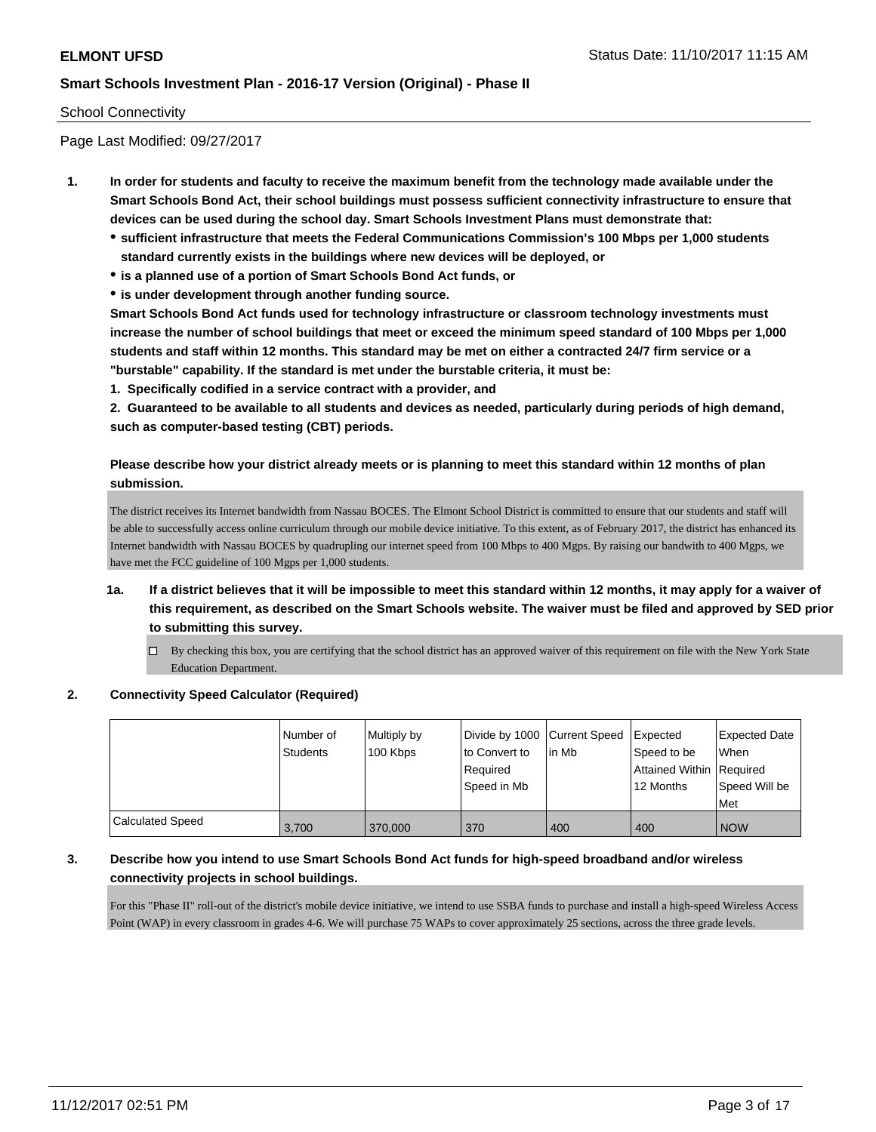#### School Connectivity

Page Last Modified: 09/27/2017

- **1. In order for students and faculty to receive the maximum benefit from the technology made available under the Smart Schools Bond Act, their school buildings must possess sufficient connectivity infrastructure to ensure that devices can be used during the school day. Smart Schools Investment Plans must demonstrate that:**
	- **sufficient infrastructure that meets the Federal Communications Commission's 100 Mbps per 1,000 students standard currently exists in the buildings where new devices will be deployed, or**
	- **is a planned use of a portion of Smart Schools Bond Act funds, or**
	- **is under development through another funding source.**

**Smart Schools Bond Act funds used for technology infrastructure or classroom technology investments must increase the number of school buildings that meet or exceed the minimum speed standard of 100 Mbps per 1,000 students and staff within 12 months. This standard may be met on either a contracted 24/7 firm service or a "burstable" capability. If the standard is met under the burstable criteria, it must be:**

**1. Specifically codified in a service contract with a provider, and**

**2. Guaranteed to be available to all students and devices as needed, particularly during periods of high demand, such as computer-based testing (CBT) periods.**

### **Please describe how your district already meets or is planning to meet this standard within 12 months of plan submission.**

The district receives its Internet bandwidth from Nassau BOCES. The Elmont School District is committed to ensure that our students and staff will be able to successfully access online curriculum through our mobile device initiative. To this extent, as of February 2017, the district has enhanced its Internet bandwidth with Nassau BOCES by quadrupling our internet speed from 100 Mbps to 400 Mgps. By raising our bandwith to 400 Mgps, we have met the FCC guideline of 100 Mgps per 1,000 students.

## **1a. If a district believes that it will be impossible to meet this standard within 12 months, it may apply for a waiver of this requirement, as described on the Smart Schools website. The waiver must be filed and approved by SED prior to submitting this survey.**

By checking this box, you are certifying that the school district has an approved waiver of this requirement on file with the New York State Education Department.

#### **2. Connectivity Speed Calculator (Required)**

|                         | l Number of<br>Students | Multiply by<br>100 Kbps | Divide by 1000 Current Speed<br>to Convert to<br>Required<br>Speed in Mb | lin Mb | <b>Expected</b><br>Speed to be<br>Attained Within Required<br>12 Months | <b>Expected Date</b><br>When<br>Speed Will be<br><b>Met</b> |
|-------------------------|-------------------------|-------------------------|--------------------------------------------------------------------------|--------|-------------------------------------------------------------------------|-------------------------------------------------------------|
| <b>Calculated Speed</b> | 3.700                   | 370,000                 | 370                                                                      | 400    | 400                                                                     | <b>NOW</b>                                                  |

### **3. Describe how you intend to use Smart Schools Bond Act funds for high-speed broadband and/or wireless connectivity projects in school buildings.**

For this "Phase II" roll-out of the district's mobile device initiative, we intend to use SSBA funds to purchase and install a high-speed Wireless Access Point (WAP) in every classroom in grades 4-6. We will purchase 75 WAPs to cover approximately 25 sections, across the three grade levels.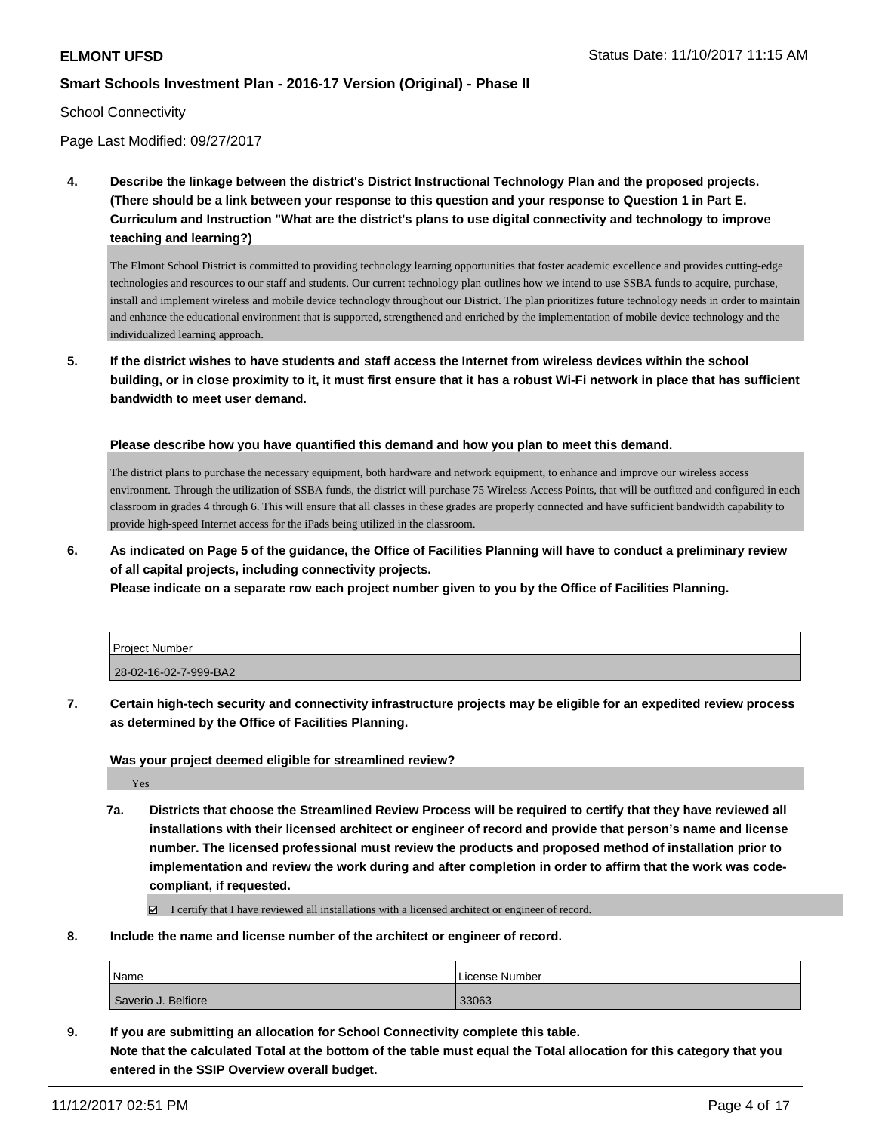#### School Connectivity

Page Last Modified: 09/27/2017

**4. Describe the linkage between the district's District Instructional Technology Plan and the proposed projects. (There should be a link between your response to this question and your response to Question 1 in Part E. Curriculum and Instruction "What are the district's plans to use digital connectivity and technology to improve teaching and learning?)**

The Elmont School District is committed to providing technology learning opportunities that foster academic excellence and provides cutting-edge technologies and resources to our staff and students. Our current technology plan outlines how we intend to use SSBA funds to acquire, purchase, install and implement wireless and mobile device technology throughout our District. The plan prioritizes future technology needs in order to maintain and enhance the educational environment that is supported, strengthened and enriched by the implementation of mobile device technology and the individualized learning approach.

**5. If the district wishes to have students and staff access the Internet from wireless devices within the school building, or in close proximity to it, it must first ensure that it has a robust Wi-Fi network in place that has sufficient bandwidth to meet user demand.**

**Please describe how you have quantified this demand and how you plan to meet this demand.**

The district plans to purchase the necessary equipment, both hardware and network equipment, to enhance and improve our wireless access environment. Through the utilization of SSBA funds, the district will purchase 75 Wireless Access Points, that will be outfitted and configured in each classroom in grades 4 through 6. This will ensure that all classes in these grades are properly connected and have sufficient bandwidth capability to provide high-speed Internet access for the iPads being utilized in the classroom.

**6. As indicated on Page 5 of the guidance, the Office of Facilities Planning will have to conduct a preliminary review of all capital projects, including connectivity projects.**

**Please indicate on a separate row each project number given to you by the Office of Facilities Planning.**

| Project Number        |  |
|-----------------------|--|
|                       |  |
| 28-02-16-02-7-999-BA2 |  |

**7. Certain high-tech security and connectivity infrastructure projects may be eligible for an expedited review process as determined by the Office of Facilities Planning.**

**Was your project deemed eligible for streamlined review?**

Yes

**7a. Districts that choose the Streamlined Review Process will be required to certify that they have reviewed all installations with their licensed architect or engineer of record and provide that person's name and license number. The licensed professional must review the products and proposed method of installation prior to implementation and review the work during and after completion in order to affirm that the work was codecompliant, if requested.**

I certify that I have reviewed all installations with a licensed architect or engineer of record.

**8. Include the name and license number of the architect or engineer of record.**

| Name                | License Number |
|---------------------|----------------|
| Saverio J. Belfiore | 33063          |

**9. If you are submitting an allocation for School Connectivity complete this table. Note that the calculated Total at the bottom of the table must equal the Total allocation for this category that you entered in the SSIP Overview overall budget.**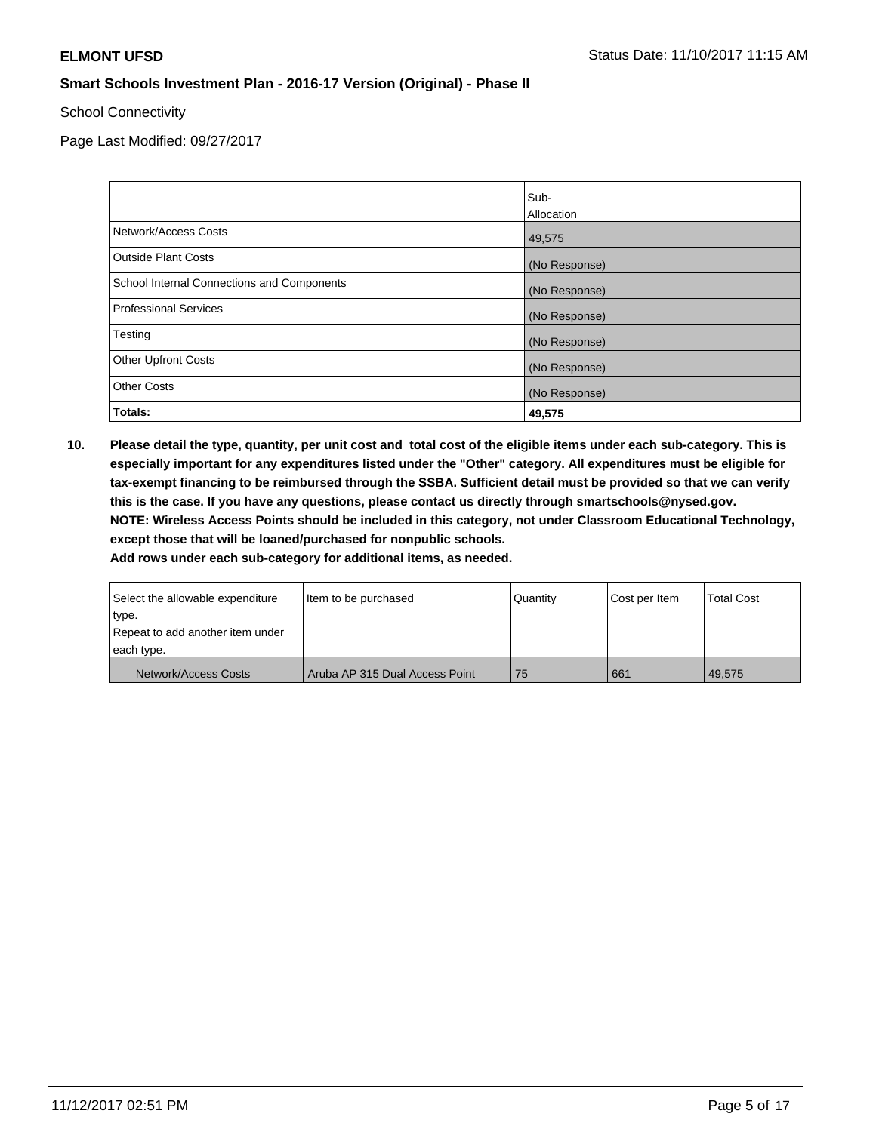School Connectivity

Page Last Modified: 09/27/2017

|                                            | Sub-          |
|--------------------------------------------|---------------|
|                                            | Allocation    |
| Network/Access Costs                       | 49,575        |
| <b>Outside Plant Costs</b>                 | (No Response) |
| School Internal Connections and Components | (No Response) |
| <b>Professional Services</b>               | (No Response) |
| Testing                                    | (No Response) |
| <b>Other Upfront Costs</b>                 | (No Response) |
| <b>Other Costs</b>                         | (No Response) |
| Totals:                                    | 49,575        |

**10. Please detail the type, quantity, per unit cost and total cost of the eligible items under each sub-category. This is especially important for any expenditures listed under the "Other" category. All expenditures must be eligible for tax-exempt financing to be reimbursed through the SSBA. Sufficient detail must be provided so that we can verify this is the case. If you have any questions, please contact us directly through smartschools@nysed.gov. NOTE: Wireless Access Points should be included in this category, not under Classroom Educational Technology, except those that will be loaned/purchased for nonpublic schools.**

| Select the allowable expenditure | Item to be purchased           | Quantity | Cost per Item | <b>Total Cost</b> |
|----------------------------------|--------------------------------|----------|---------------|-------------------|
| ∣type.                           |                                |          |               |                   |
| Repeat to add another item under |                                |          |               |                   |
| each type.                       |                                |          |               |                   |
| Network/Access Costs             | Aruba AP 315 Dual Access Point | 75       | 661           | 49.575            |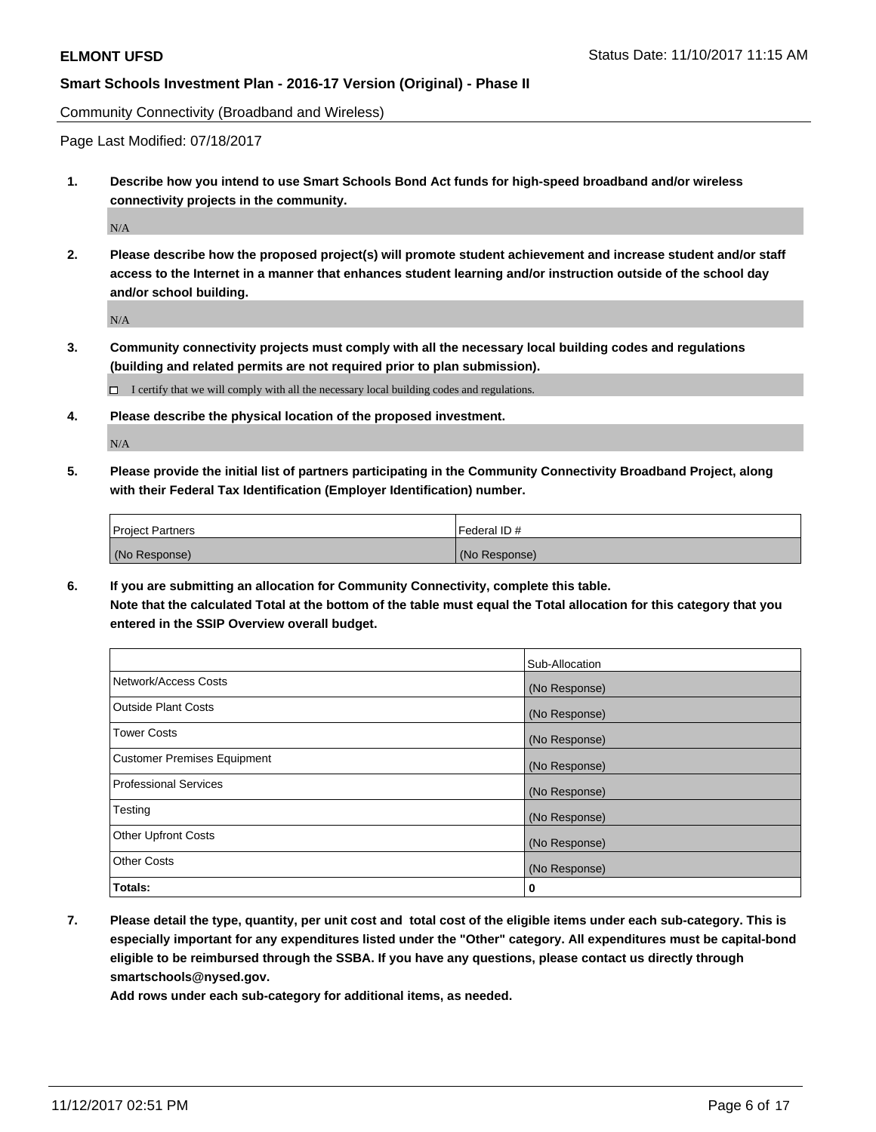Community Connectivity (Broadband and Wireless)

Page Last Modified: 07/18/2017

**1. Describe how you intend to use Smart Schools Bond Act funds for high-speed broadband and/or wireless connectivity projects in the community.**

 $\rm N/A$ 

**2. Please describe how the proposed project(s) will promote student achievement and increase student and/or staff access to the Internet in a manner that enhances student learning and/or instruction outside of the school day and/or school building.**

 $\rm N/A$ 

**3. Community connectivity projects must comply with all the necessary local building codes and regulations (building and related permits are not required prior to plan submission).**

 $\Box$  I certify that we will comply with all the necessary local building codes and regulations.

**4. Please describe the physical location of the proposed investment.**

N/A

**5. Please provide the initial list of partners participating in the Community Connectivity Broadband Project, along with their Federal Tax Identification (Employer Identification) number.**

| <b>Project Partners</b> | l Federal ID # |
|-------------------------|----------------|
| (No Response)           | (No Response)  |

**6. If you are submitting an allocation for Community Connectivity, complete this table. Note that the calculated Total at the bottom of the table must equal the Total allocation for this category that you entered in the SSIP Overview overall budget.**

|                                    | Sub-Allocation |
|------------------------------------|----------------|
| Network/Access Costs               | (No Response)  |
| <b>Outside Plant Costs</b>         | (No Response)  |
| <b>Tower Costs</b>                 | (No Response)  |
| <b>Customer Premises Equipment</b> | (No Response)  |
| <b>Professional Services</b>       | (No Response)  |
| Testing                            | (No Response)  |
| <b>Other Upfront Costs</b>         | (No Response)  |
| <b>Other Costs</b>                 | (No Response)  |
| Totals:                            | 0              |

**7. Please detail the type, quantity, per unit cost and total cost of the eligible items under each sub-category. This is especially important for any expenditures listed under the "Other" category. All expenditures must be capital-bond eligible to be reimbursed through the SSBA. If you have any questions, please contact us directly through smartschools@nysed.gov.**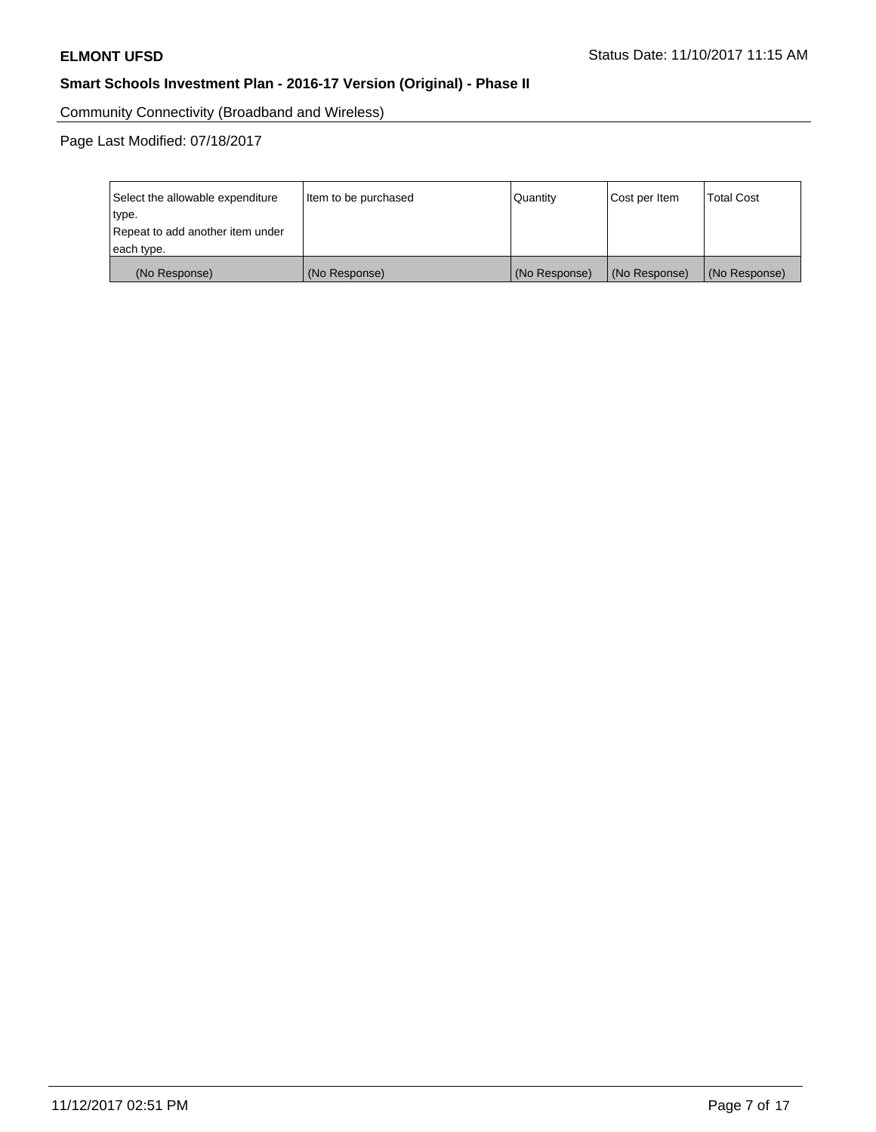Community Connectivity (Broadband and Wireless)

Page Last Modified: 07/18/2017

| Select the allowable expenditure<br>type.<br>Repeat to add another item under | Item to be purchased | Quantity      | Cost per Item | <b>Total Cost</b> |
|-------------------------------------------------------------------------------|----------------------|---------------|---------------|-------------------|
| each type.                                                                    |                      |               |               |                   |
| (No Response)                                                                 | (No Response)        | (No Response) | (No Response) | (No Response)     |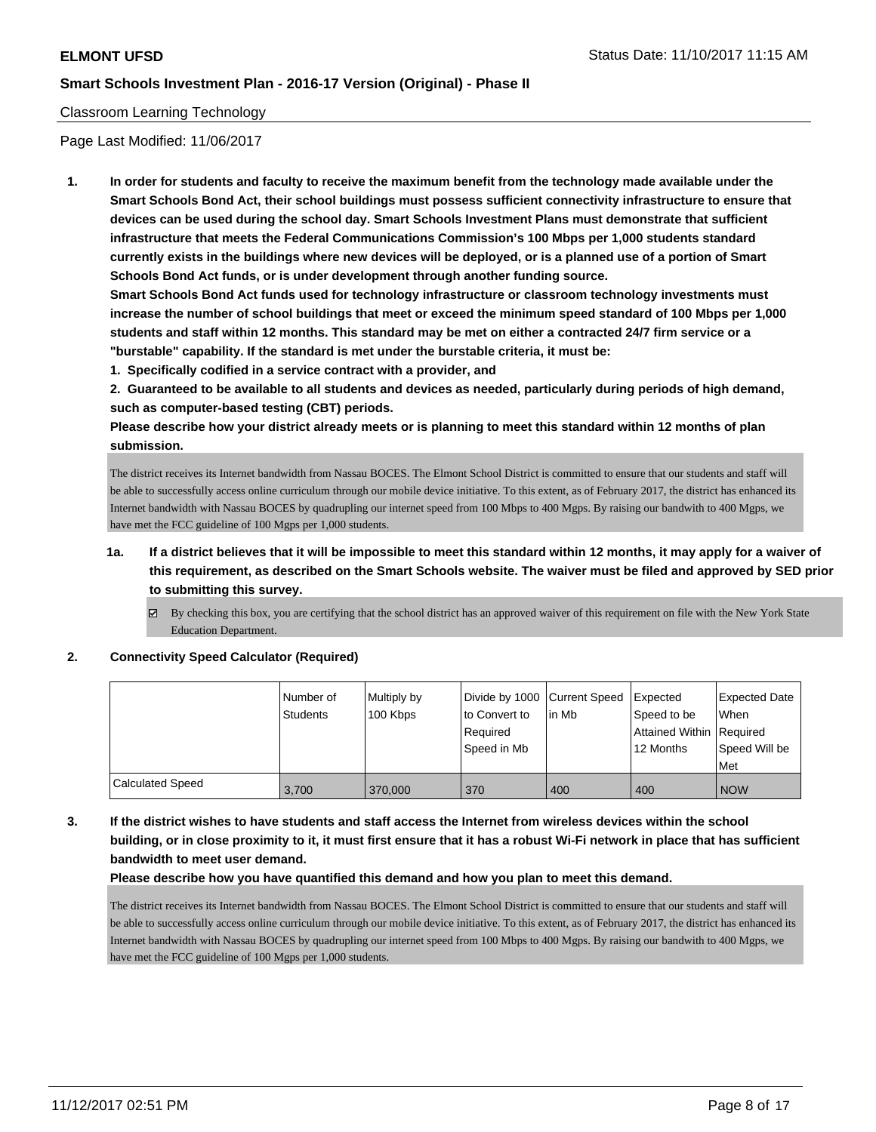#### Classroom Learning Technology

Page Last Modified: 11/06/2017

**1. In order for students and faculty to receive the maximum benefit from the technology made available under the Smart Schools Bond Act, their school buildings must possess sufficient connectivity infrastructure to ensure that devices can be used during the school day. Smart Schools Investment Plans must demonstrate that sufficient infrastructure that meets the Federal Communications Commission's 100 Mbps per 1,000 students standard currently exists in the buildings where new devices will be deployed, or is a planned use of a portion of Smart Schools Bond Act funds, or is under development through another funding source.**

**Smart Schools Bond Act funds used for technology infrastructure or classroom technology investments must increase the number of school buildings that meet or exceed the minimum speed standard of 100 Mbps per 1,000 students and staff within 12 months. This standard may be met on either a contracted 24/7 firm service or a "burstable" capability. If the standard is met under the burstable criteria, it must be:**

**1. Specifically codified in a service contract with a provider, and**

**2. Guaranteed to be available to all students and devices as needed, particularly during periods of high demand, such as computer-based testing (CBT) periods.**

**Please describe how your district already meets or is planning to meet this standard within 12 months of plan submission.**

The district receives its Internet bandwidth from Nassau BOCES. The Elmont School District is committed to ensure that our students and staff will be able to successfully access online curriculum through our mobile device initiative. To this extent, as of February 2017, the district has enhanced its Internet bandwidth with Nassau BOCES by quadrupling our internet speed from 100 Mbps to 400 Mgps. By raising our bandwith to 400 Mgps, we have met the FCC guideline of 100 Mgps per 1,000 students.

- **1a. If a district believes that it will be impossible to meet this standard within 12 months, it may apply for a waiver of this requirement, as described on the Smart Schools website. The waiver must be filed and approved by SED prior to submitting this survey.**
	- $\boxtimes$  By checking this box, you are certifying that the school district has an approved waiver of this requirement on file with the New York State Education Department.

**2. Connectivity Speed Calculator (Required)**

|                         | Number of<br><b>Students</b> | Multiply by<br>100 Kbps | Divide by 1000 Current Speed<br>to Convert to<br>Required<br>l Speed in Mb | lin Mb | <b>Expected</b><br>Speed to be<br>Attained Within Required<br>12 Months | <b>Expected Date</b><br>When<br>Speed Will be<br>Met |
|-------------------------|------------------------------|-------------------------|----------------------------------------------------------------------------|--------|-------------------------------------------------------------------------|------------------------------------------------------|
| <b>Calculated Speed</b> | 3,700                        | 370,000                 | 370                                                                        | 400    | 400                                                                     | <b>NOW</b>                                           |

**3. If the district wishes to have students and staff access the Internet from wireless devices within the school building, or in close proximity to it, it must first ensure that it has a robust Wi-Fi network in place that has sufficient bandwidth to meet user demand.**

**Please describe how you have quantified this demand and how you plan to meet this demand.**

The district receives its Internet bandwidth from Nassau BOCES. The Elmont School District is committed to ensure that our students and staff will be able to successfully access online curriculum through our mobile device initiative. To this extent, as of February 2017, the district has enhanced its Internet bandwidth with Nassau BOCES by quadrupling our internet speed from 100 Mbps to 400 Mgps. By raising our bandwith to 400 Mgps, we have met the FCC guideline of 100 Mgps per 1,000 students.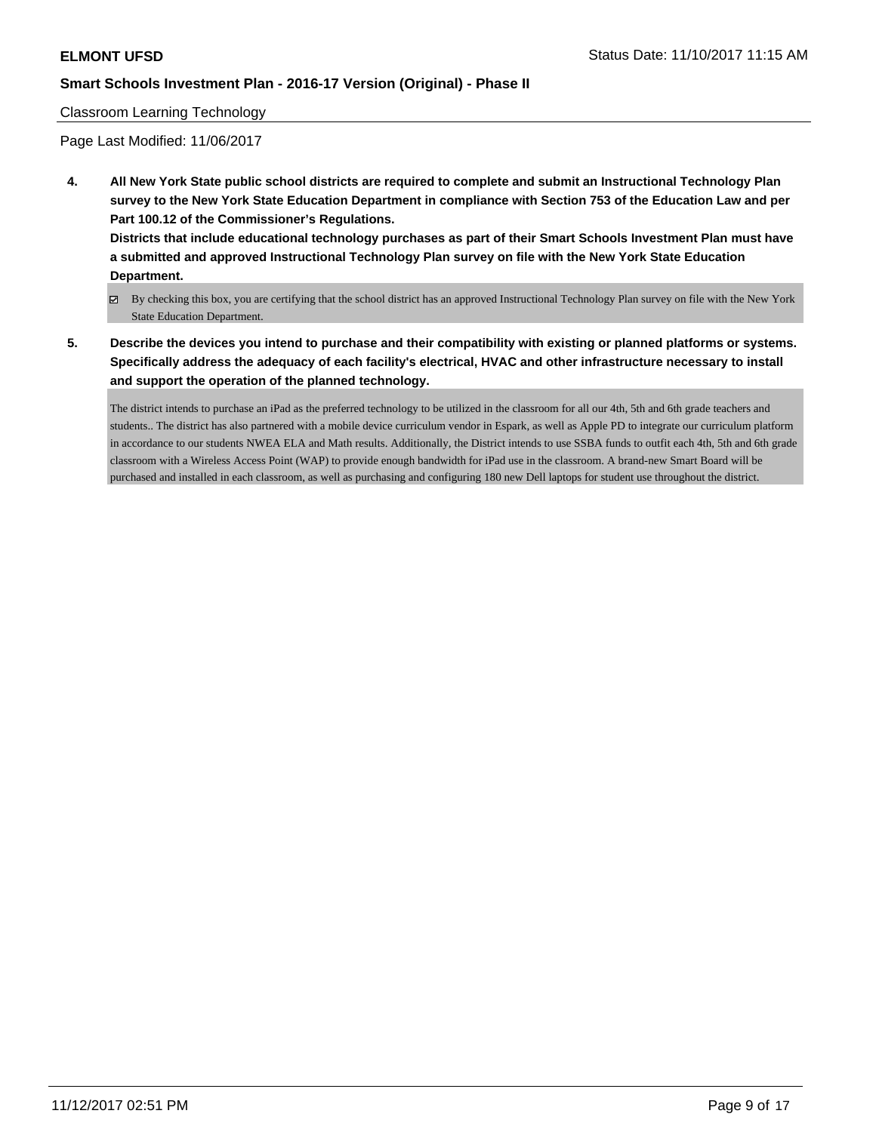#### Classroom Learning Technology

Page Last Modified: 11/06/2017

**4. All New York State public school districts are required to complete and submit an Instructional Technology Plan survey to the New York State Education Department in compliance with Section 753 of the Education Law and per Part 100.12 of the Commissioner's Regulations.**

**Districts that include educational technology purchases as part of their Smart Schools Investment Plan must have a submitted and approved Instructional Technology Plan survey on file with the New York State Education Department.**

- By checking this box, you are certifying that the school district has an approved Instructional Technology Plan survey on file with the New York State Education Department.
- **5. Describe the devices you intend to purchase and their compatibility with existing or planned platforms or systems. Specifically address the adequacy of each facility's electrical, HVAC and other infrastructure necessary to install and support the operation of the planned technology.**

The district intends to purchase an iPad as the preferred technology to be utilized in the classroom for all our 4th, 5th and 6th grade teachers and students.. The district has also partnered with a mobile device curriculum vendor in Espark, as well as Apple PD to integrate our curriculum platform in accordance to our students NWEA ELA and Math results. Additionally, the District intends to use SSBA funds to outfit each 4th, 5th and 6th grade classroom with a Wireless Access Point (WAP) to provide enough bandwidth for iPad use in the classroom. A brand-new Smart Board will be purchased and installed in each classroom, as well as purchasing and configuring 180 new Dell laptops for student use throughout the district.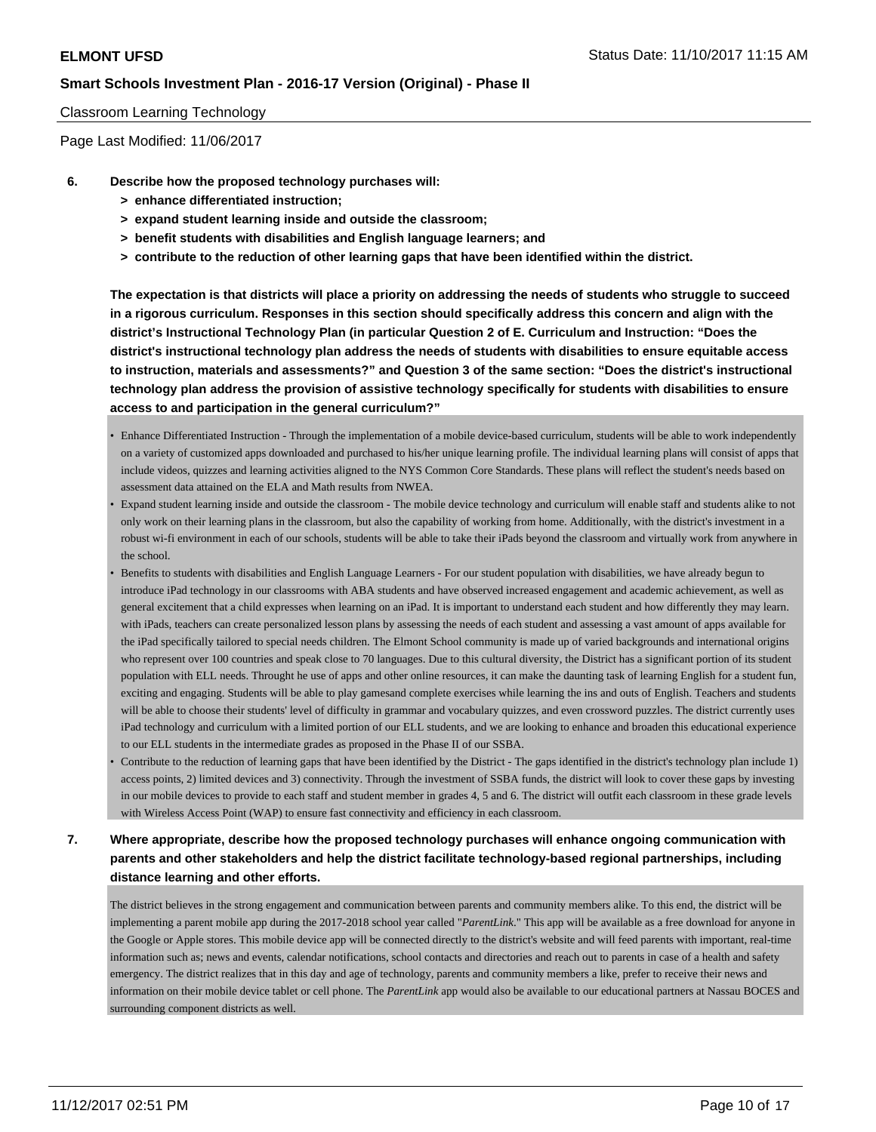#### Classroom Learning Technology

Page Last Modified: 11/06/2017

- **6. Describe how the proposed technology purchases will:**
	- **> enhance differentiated instruction;**
	- **> expand student learning inside and outside the classroom;**
	- **> benefit students with disabilities and English language learners; and**
	- **> contribute to the reduction of other learning gaps that have been identified within the district.**

**The expectation is that districts will place a priority on addressing the needs of students who struggle to succeed in a rigorous curriculum. Responses in this section should specifically address this concern and align with the district's Instructional Technology Plan (in particular Question 2 of E. Curriculum and Instruction: "Does the district's instructional technology plan address the needs of students with disabilities to ensure equitable access to instruction, materials and assessments?" and Question 3 of the same section: "Does the district's instructional technology plan address the provision of assistive technology specifically for students with disabilities to ensure access to and participation in the general curriculum?"**

- Enhance Differentiated Instruction Through the implementation of a mobile device-based curriculum, students will be able to work independently on a variety of customized apps downloaded and purchased to his/her unique learning profile. The individual learning plans will consist of apps that include videos, quizzes and learning activities aligned to the NYS Common Core Standards. These plans will reflect the student's needs based on assessment data attained on the ELA and Math results from NWEA.
- Expand student learning inside and outside the classroom The mobile device technology and curriculum will enable staff and students alike to not only work on their learning plans in the classroom, but also the capability of working from home. Additionally, with the district's investment in a robust wi-fi environment in each of our schools, students will be able to take their iPads beyond the classroom and virtually work from anywhere in the school.
- Benefits to students with disabilities and English Language Learners For our student population with disabilities, we have already begun to introduce iPad technology in our classrooms with ABA students and have observed increased engagement and academic achievement, as well as general excitement that a child expresses when learning on an iPad. It is important to understand each student and how differently they may learn. with iPads, teachers can create personalized lesson plans by assessing the needs of each student and assessing a vast amount of apps available for the iPad specifically tailored to special needs children. The Elmont School community is made up of varied backgrounds and international origins who represent over 100 countries and speak close to 70 languages. Due to this cultural diversity, the District has a significant portion of its student population with ELL needs. Throught he use of apps and other online resources, it can make the daunting task of learning English for a student fun, exciting and engaging. Students will be able to play gamesand complete exercises while learning the ins and outs of English. Teachers and students will be able to choose their students' level of difficulty in grammar and vocabulary quizzes, and even crossword puzzles. The district currently uses iPad technology and curriculum with a limited portion of our ELL students, and we are looking to enhance and broaden this educational experience to our ELL students in the intermediate grades as proposed in the Phase II of our SSBA.
- Contribute to the reduction of learning gaps that have been identified by the District The gaps identified in the district's technology plan include 1) access points, 2) limited devices and 3) connectivity. Through the investment of SSBA funds, the district will look to cover these gaps by investing in our mobile devices to provide to each staff and student member in grades 4, 5 and 6. The district will outfit each classroom in these grade levels with Wireless Access Point (WAP) to ensure fast connectivity and efficiency in each classroom.

# **7. Where appropriate, describe how the proposed technology purchases will enhance ongoing communication with parents and other stakeholders and help the district facilitate technology-based regional partnerships, including distance learning and other efforts.**

The district believes in the strong engagement and communication between parents and community members alike. To this end, the district will be implementing a parent mobile app during the 2017-2018 school year called "*ParentLink*." This app will be available as a free download for anyone in the Google or Apple stores. This mobile device app will be connected directly to the district's website and will feed parents with important, real-time information such as; news and events, calendar notifications, school contacts and directories and reach out to parents in case of a health and safety emergency. The district realizes that in this day and age of technology, parents and community members a like, prefer to receive their news and information on their mobile device tablet or cell phone. The *ParentLink* app would also be available to our educational partners at Nassau BOCES and surrounding component districts as well.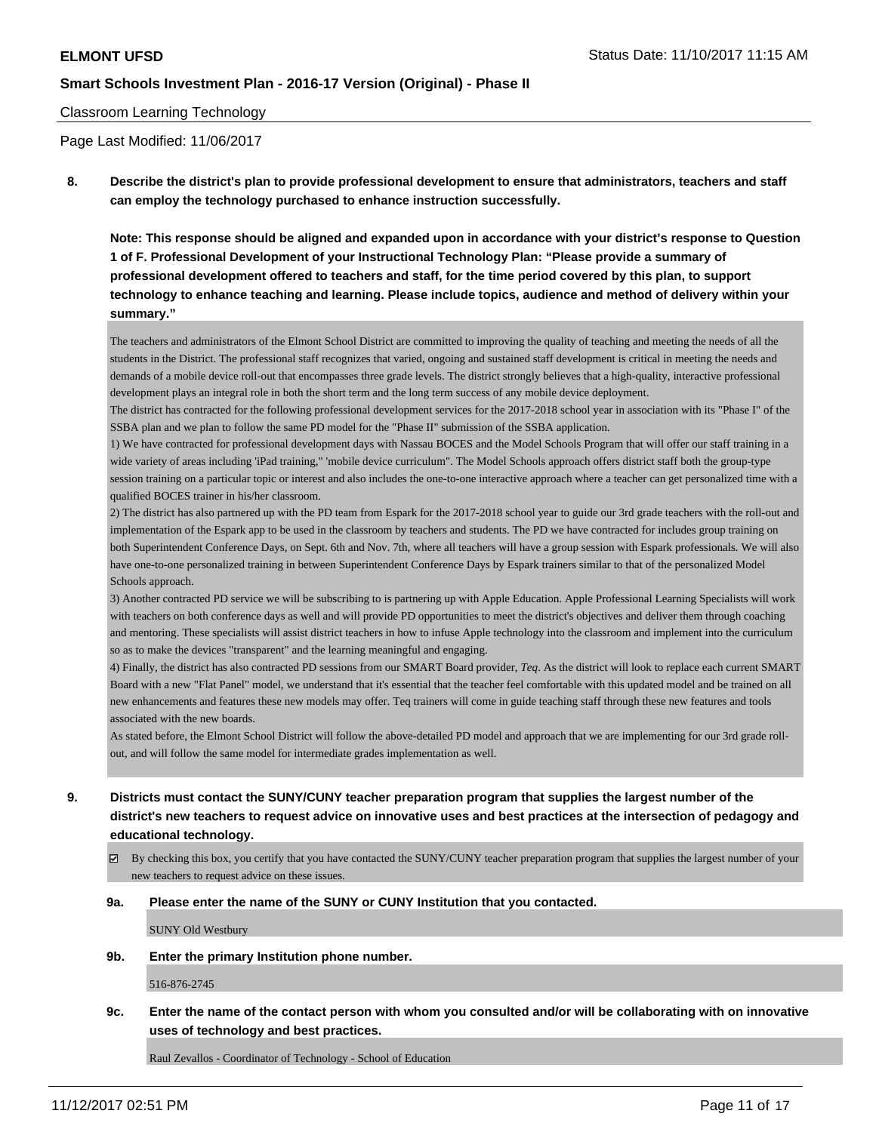#### Classroom Learning Technology

Page Last Modified: 11/06/2017

**8. Describe the district's plan to provide professional development to ensure that administrators, teachers and staff can employ the technology purchased to enhance instruction successfully.**

**Note: This response should be aligned and expanded upon in accordance with your district's response to Question 1 of F. Professional Development of your Instructional Technology Plan: "Please provide a summary of professional development offered to teachers and staff, for the time period covered by this plan, to support technology to enhance teaching and learning. Please include topics, audience and method of delivery within your summary."**

The teachers and administrators of the Elmont School District are committed to improving the quality of teaching and meeting the needs of all the students in the District. The professional staff recognizes that varied, ongoing and sustained staff development is critical in meeting the needs and demands of a mobile device roll-out that encompasses three grade levels. The district strongly believes that a high-quality, interactive professional development plays an integral role in both the short term and the long term success of any mobile device deployment.

The district has contracted for the following professional development services for the 2017-2018 school year in association with its "Phase I" of the SSBA plan and we plan to follow the same PD model for the "Phase II" submission of the SSBA application.

1) We have contracted for professional development days with Nassau BOCES and the Model Schools Program that will offer our staff training in a wide variety of areas including 'iPad training," 'mobile device curriculum". The Model Schools approach offers district staff both the group-type session training on a particular topic or interest and also includes the one-to-one interactive approach where a teacher can get personalized time with a qualified BOCES trainer in his/her classroom.

2) The district has also partnered up with the PD team from Espark for the 2017-2018 school year to guide our 3rd grade teachers with the roll-out and implementation of the Espark app to be used in the classroom by teachers and students. The PD we have contracted for includes group training on both Superintendent Conference Days, on Sept. 6th and Nov. 7th, where all teachers will have a group session with Espark professionals. We will also have one-to-one personalized training in between Superintendent Conference Days by Espark trainers similar to that of the personalized Model Schools approach.

3) Another contracted PD service we will be subscribing to is partnering up with Apple Education. Apple Professional Learning Specialists will work with teachers on both conference days as well and will provide PD opportunities to meet the district's objectives and deliver them through coaching and mentoring. These specialists will assist district teachers in how to infuse Apple technology into the classroom and implement into the curriculum so as to make the devices "transparent" and the learning meaningful and engaging.

4) Finally, the district has also contracted PD sessions from our SMART Board provider, *Teq*. As the district will look to replace each current SMART Board with a new "Flat Panel" model, we understand that it's essential that the teacher feel comfortable with this updated model and be trained on all new enhancements and features these new models may offer. Teq trainers will come in guide teaching staff through these new features and tools associated with the new boards.

As stated before, the Elmont School District will follow the above-detailed PD model and approach that we are implementing for our 3rd grade rollout, and will follow the same model for intermediate grades implementation as well.

- **9. Districts must contact the SUNY/CUNY teacher preparation program that supplies the largest number of the district's new teachers to request advice on innovative uses and best practices at the intersection of pedagogy and educational technology.**
	- $\boxtimes$  By checking this box, you certify that you have contacted the SUNY/CUNY teacher preparation program that supplies the largest number of your new teachers to request advice on these issues.

#### **9a. Please enter the name of the SUNY or CUNY Institution that you contacted.**

SUNY Old Westbury

**9b. Enter the primary Institution phone number.**

516-876-2745

**9c. Enter the name of the contact person with whom you consulted and/or will be collaborating with on innovative uses of technology and best practices.**

Raul Zevallos - Coordinator of Technology - School of Education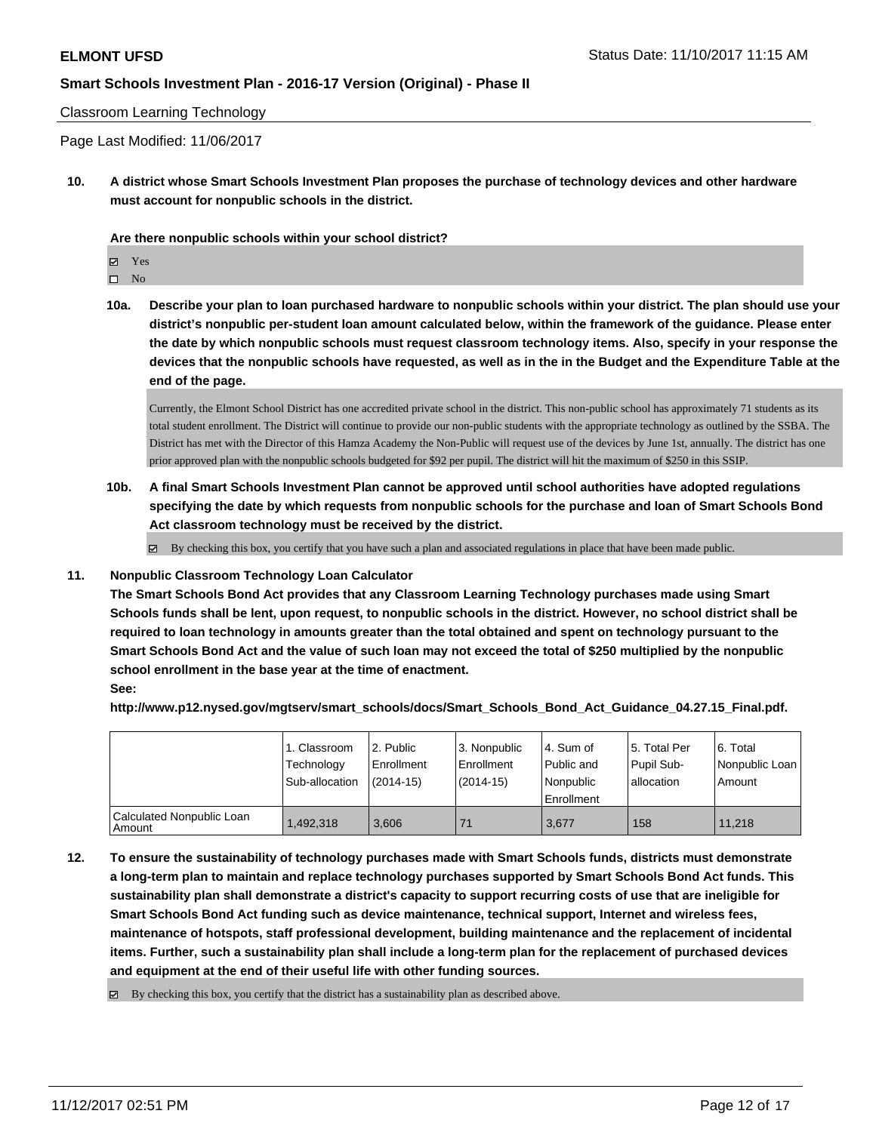#### Classroom Learning Technology

Page Last Modified: 11/06/2017

**10. A district whose Smart Schools Investment Plan proposes the purchase of technology devices and other hardware must account for nonpublic schools in the district.**

**Are there nonpublic schools within your school district?**

Yes

 $\hfill \square$  No

**10a. Describe your plan to loan purchased hardware to nonpublic schools within your district. The plan should use your district's nonpublic per-student loan amount calculated below, within the framework of the guidance. Please enter the date by which nonpublic schools must request classroom technology items. Also, specify in your response the devices that the nonpublic schools have requested, as well as in the in the Budget and the Expenditure Table at the end of the page.**

Currently, the Elmont School District has one accredited private school in the district. This non-public school has approximately 71 students as its total student enrollment. The District will continue to provide our non-public students with the appropriate technology as outlined by the SSBA. The District has met with the Director of this Hamza Academy the Non-Public will request use of the devices by June 1st, annually. The district has one prior approved plan with the nonpublic schools budgeted for \$92 per pupil. The district will hit the maximum of \$250 in this SSIP.

**10b. A final Smart Schools Investment Plan cannot be approved until school authorities have adopted regulations specifying the date by which requests from nonpublic schools for the purchase and loan of Smart Schools Bond Act classroom technology must be received by the district.**

 $\boxtimes$  By checking this box, you certify that you have such a plan and associated regulations in place that have been made public.

#### **11. Nonpublic Classroom Technology Loan Calculator**

**The Smart Schools Bond Act provides that any Classroom Learning Technology purchases made using Smart Schools funds shall be lent, upon request, to nonpublic schools in the district. However, no school district shall be required to loan technology in amounts greater than the total obtained and spent on technology pursuant to the Smart Schools Bond Act and the value of such loan may not exceed the total of \$250 multiplied by the nonpublic school enrollment in the base year at the time of enactment.**

**See:**

**http://www.p12.nysed.gov/mgtserv/smart\_schools/docs/Smart\_Schools\_Bond\_Act\_Guidance\_04.27.15\_Final.pdf.**

|                                       | 1. Classroom<br>Technology<br>Sub-allocation | l 2. Public<br>l Enrollment<br>$(2014-15)$ | 13. Nonpublic<br>Enrollment<br>$(2014-15)$ | 4. Sum of<br>Public and<br>l Nonpublic<br>Enrollment | 15. Total Per<br>Pupil Sub-<br>allocation | l 6. Total<br>Nonpublic Loan<br>Amount |
|---------------------------------------|----------------------------------------------|--------------------------------------------|--------------------------------------------|------------------------------------------------------|-------------------------------------------|----------------------------------------|
| Calculated Nonpublic Loan<br>  Amount | 1,492,318                                    | 3.606                                      | 71                                         | 3.677                                                | 158                                       | 11.218                                 |

**12. To ensure the sustainability of technology purchases made with Smart Schools funds, districts must demonstrate a long-term plan to maintain and replace technology purchases supported by Smart Schools Bond Act funds. This sustainability plan shall demonstrate a district's capacity to support recurring costs of use that are ineligible for Smart Schools Bond Act funding such as device maintenance, technical support, Internet and wireless fees, maintenance of hotspots, staff professional development, building maintenance and the replacement of incidental items. Further, such a sustainability plan shall include a long-term plan for the replacement of purchased devices and equipment at the end of their useful life with other funding sources.**

By checking this box, you certify that the district has a sustainability plan as described above.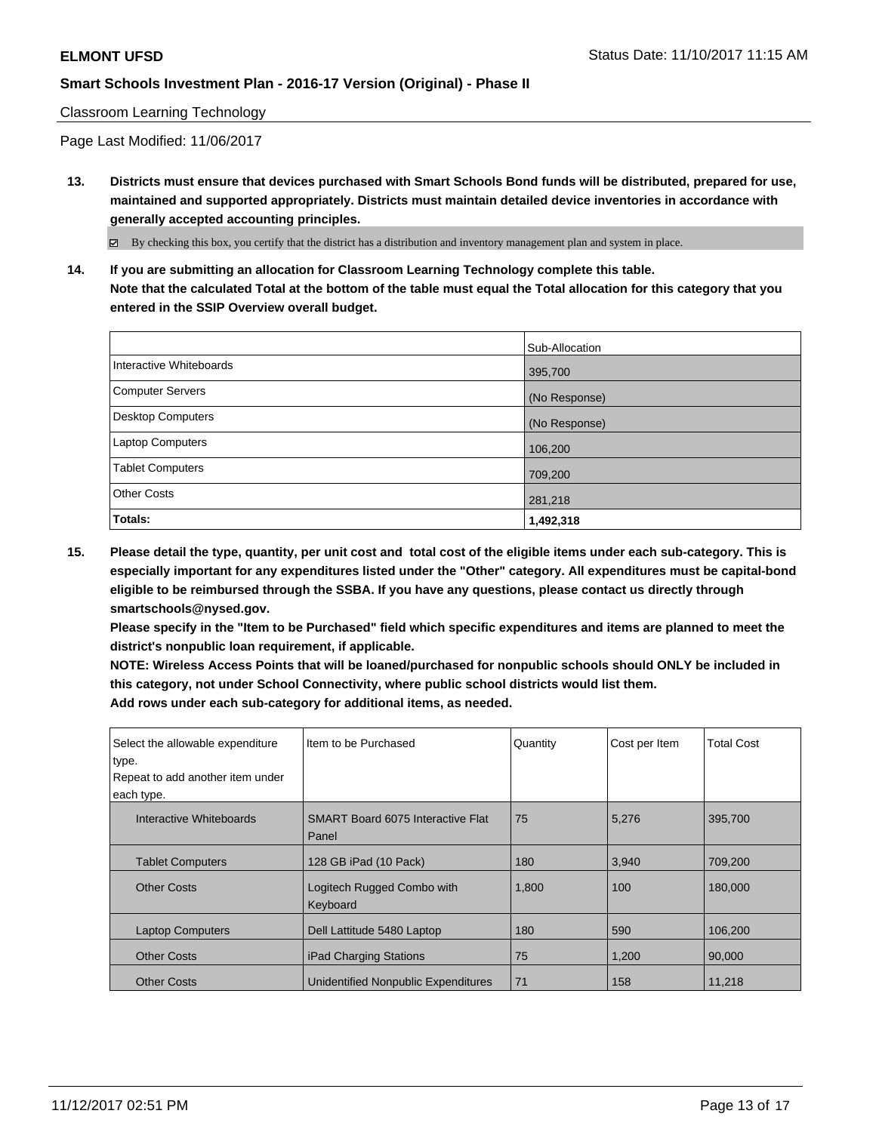#### Classroom Learning Technology

Page Last Modified: 11/06/2017

**13. Districts must ensure that devices purchased with Smart Schools Bond funds will be distributed, prepared for use, maintained and supported appropriately. Districts must maintain detailed device inventories in accordance with generally accepted accounting principles.**

By checking this box, you certify that the district has a distribution and inventory management plan and system in place.

**14. If you are submitting an allocation for Classroom Learning Technology complete this table. Note that the calculated Total at the bottom of the table must equal the Total allocation for this category that you entered in the SSIP Overview overall budget.**

|                         | Sub-Allocation |
|-------------------------|----------------|
| Interactive Whiteboards | 395,700        |
| Computer Servers        | (No Response)  |
| Desktop Computers       | (No Response)  |
| Laptop Computers        | 106,200        |
| <b>Tablet Computers</b> | 709,200        |
| <b>Other Costs</b>      | 281,218        |
| Totals:                 | 1,492,318      |

**15. Please detail the type, quantity, per unit cost and total cost of the eligible items under each sub-category. This is especially important for any expenditures listed under the "Other" category. All expenditures must be capital-bond eligible to be reimbursed through the SSBA. If you have any questions, please contact us directly through smartschools@nysed.gov.**

**Please specify in the "Item to be Purchased" field which specific expenditures and items are planned to meet the district's nonpublic loan requirement, if applicable.**

**NOTE: Wireless Access Points that will be loaned/purchased for nonpublic schools should ONLY be included in this category, not under School Connectivity, where public school districts would list them. Add rows under each sub-category for additional items, as needed.**

| Select the allowable expenditure<br>type.<br>Repeat to add another item under<br>each type. | Item to be Purchased                              | Quantity | Cost per Item | <b>Total Cost</b> |
|---------------------------------------------------------------------------------------------|---------------------------------------------------|----------|---------------|-------------------|
| Interactive Whiteboards                                                                     | <b>SMART Board 6075 Interactive Flat</b><br>Panel | 75       | 5,276         | 395,700           |
| <b>Tablet Computers</b>                                                                     | 128 GB iPad (10 Pack)                             | 180      | 3,940         | 709,200           |
| <b>Other Costs</b>                                                                          | Logitech Rugged Combo with<br>Keyboard            | 1,800    | 100           | 180,000           |
| <b>Laptop Computers</b>                                                                     | Dell Lattitude 5480 Laptop                        | 180      | 590           | 106,200           |
| <b>Other Costs</b>                                                                          | <b>iPad Charging Stations</b>                     | 75       | 1,200         | 90,000            |
| <b>Other Costs</b>                                                                          | Unidentified Nonpublic Expenditures               | 71       | 158           | 11,218            |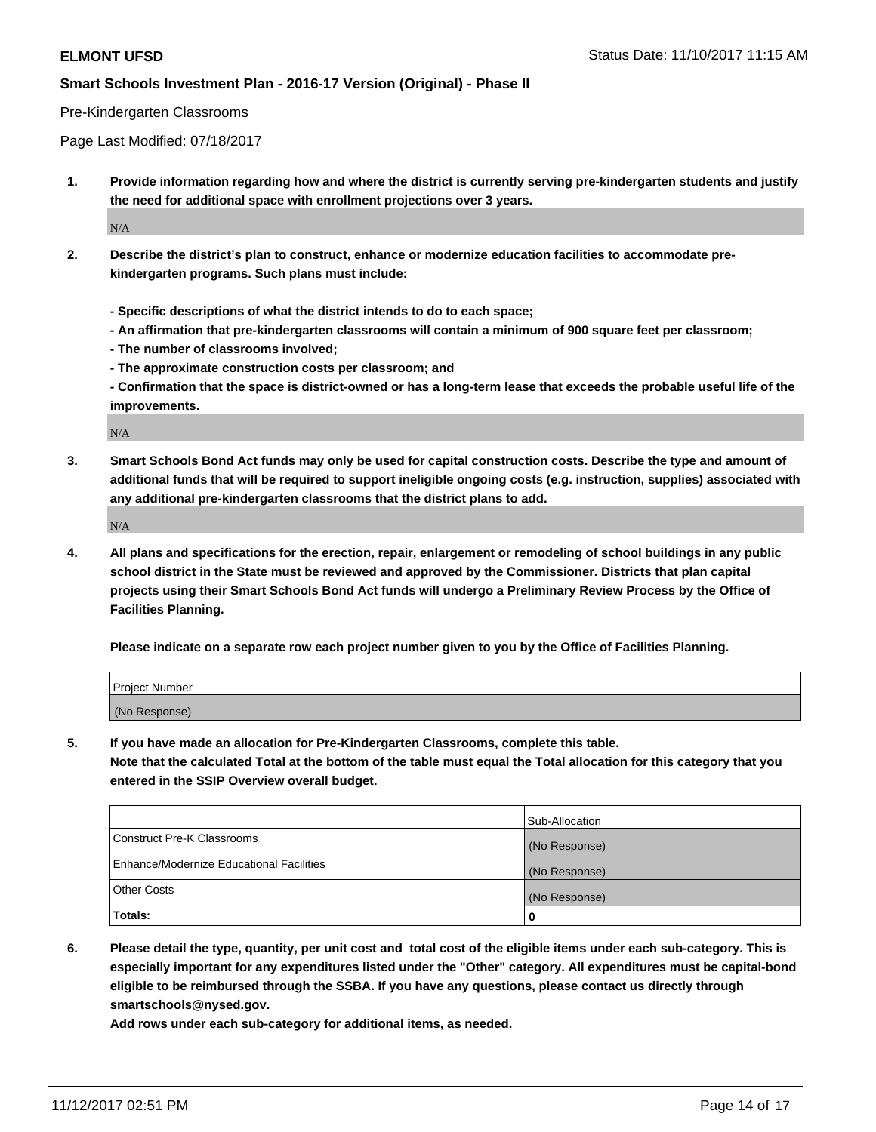#### Pre-Kindergarten Classrooms

Page Last Modified: 07/18/2017

**1. Provide information regarding how and where the district is currently serving pre-kindergarten students and justify the need for additional space with enrollment projections over 3 years.**

 $\rm N/A$ 

- **2. Describe the district's plan to construct, enhance or modernize education facilities to accommodate prekindergarten programs. Such plans must include:**
	- **Specific descriptions of what the district intends to do to each space;**
	- **An affirmation that pre-kindergarten classrooms will contain a minimum of 900 square feet per classroom;**
	- **The number of classrooms involved;**
	- **The approximate construction costs per classroom; and**

**- Confirmation that the space is district-owned or has a long-term lease that exceeds the probable useful life of the improvements.**

N/A

**3. Smart Schools Bond Act funds may only be used for capital construction costs. Describe the type and amount of additional funds that will be required to support ineligible ongoing costs (e.g. instruction, supplies) associated with any additional pre-kindergarten classrooms that the district plans to add.**

 $N/A$ 

**4. All plans and specifications for the erection, repair, enlargement or remodeling of school buildings in any public school district in the State must be reviewed and approved by the Commissioner. Districts that plan capital projects using their Smart Schools Bond Act funds will undergo a Preliminary Review Process by the Office of Facilities Planning.**

**Please indicate on a separate row each project number given to you by the Office of Facilities Planning.**

| Project Number |  |
|----------------|--|
| (No Response)  |  |

**5. If you have made an allocation for Pre-Kindergarten Classrooms, complete this table.**

**Note that the calculated Total at the bottom of the table must equal the Total allocation for this category that you entered in the SSIP Overview overall budget.**

|                                          | Sub-Allocation |
|------------------------------------------|----------------|
| Construct Pre-K Classrooms               | (No Response)  |
| Enhance/Modernize Educational Facilities | (No Response)  |
| <b>Other Costs</b>                       | (No Response)  |
| Totals:                                  | 0              |

**6. Please detail the type, quantity, per unit cost and total cost of the eligible items under each sub-category. This is especially important for any expenditures listed under the "Other" category. All expenditures must be capital-bond eligible to be reimbursed through the SSBA. If you have any questions, please contact us directly through smartschools@nysed.gov.**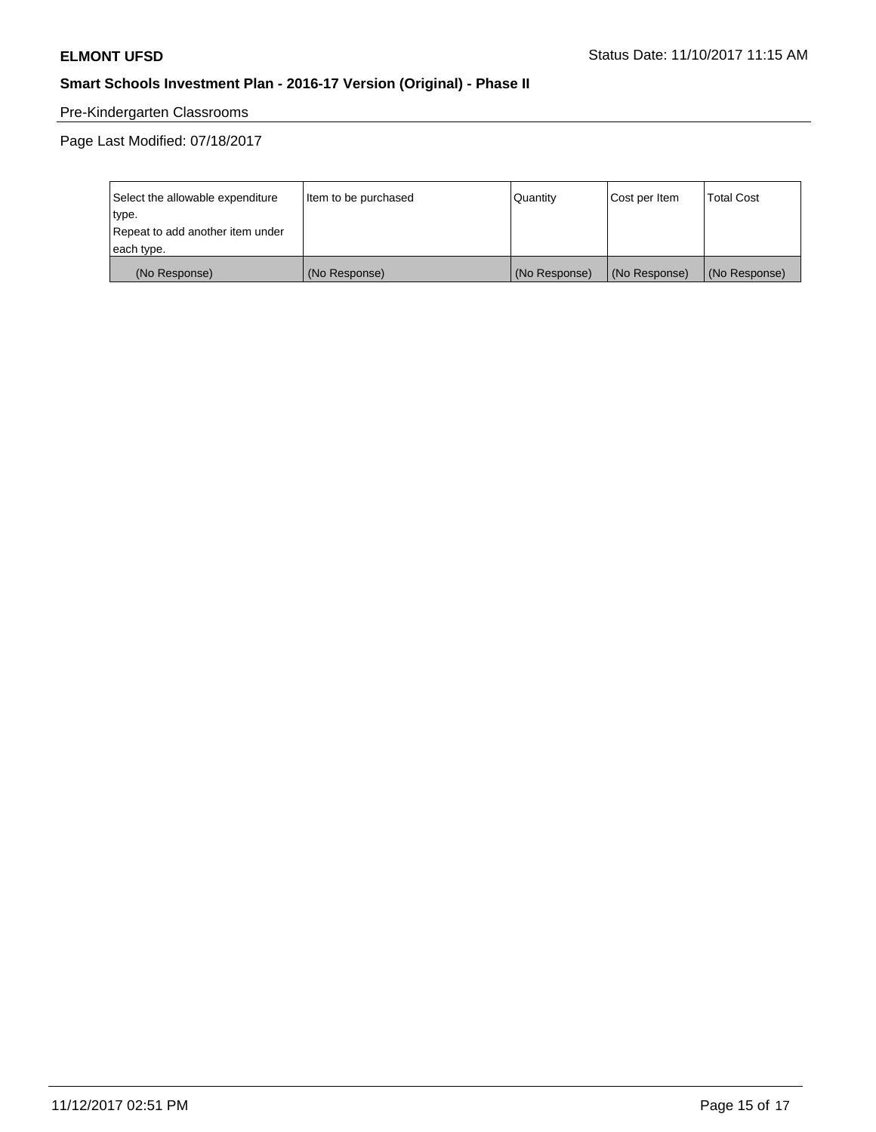# Pre-Kindergarten Classrooms

Page Last Modified: 07/18/2017

| Select the allowable expenditure | Item to be purchased | Quantity      | Cost per Item | <b>Total Cost</b> |
|----------------------------------|----------------------|---------------|---------------|-------------------|
| type.                            |                      |               |               |                   |
| Repeat to add another item under |                      |               |               |                   |
| each type.                       |                      |               |               |                   |
| (No Response)                    | (No Response)        | (No Response) | (No Response) | (No Response)     |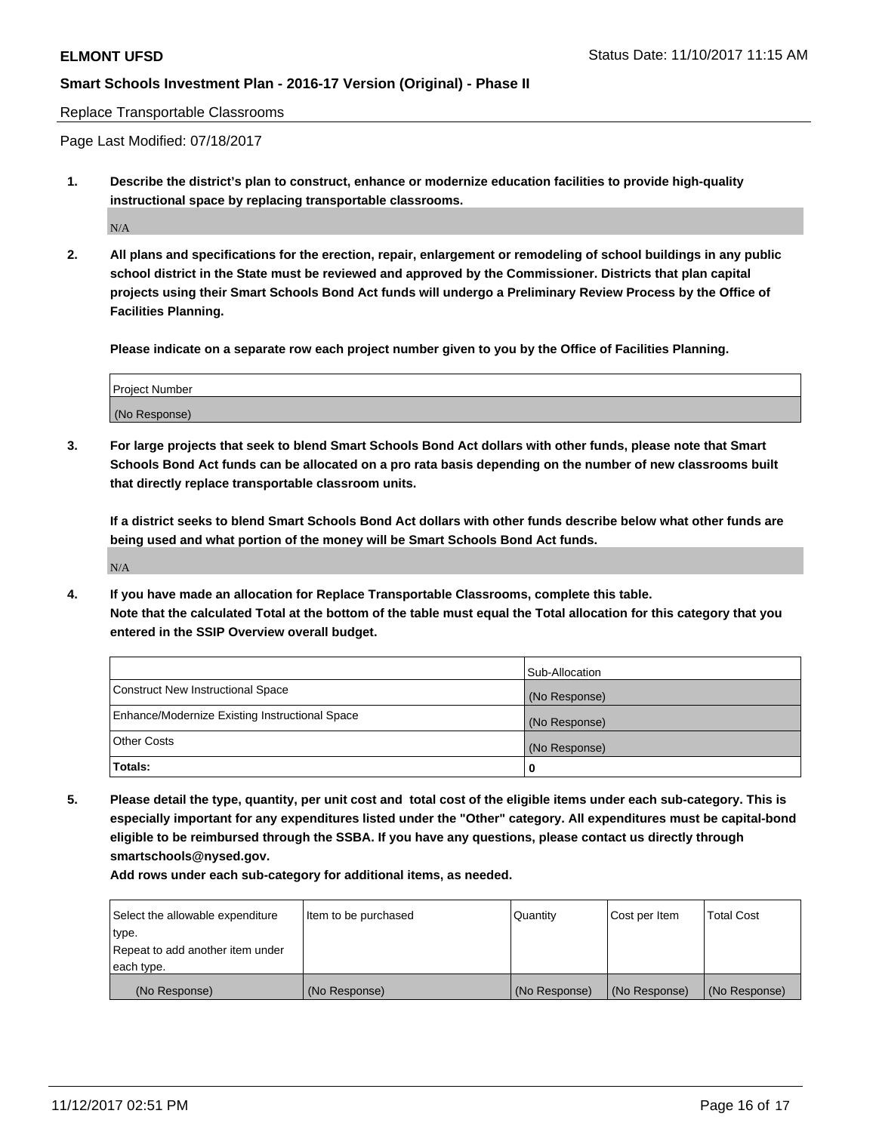Replace Transportable Classrooms

Page Last Modified: 07/18/2017

**1. Describe the district's plan to construct, enhance or modernize education facilities to provide high-quality instructional space by replacing transportable classrooms.**

 $\rm N/A$ 

**2. All plans and specifications for the erection, repair, enlargement or remodeling of school buildings in any public school district in the State must be reviewed and approved by the Commissioner. Districts that plan capital projects using their Smart Schools Bond Act funds will undergo a Preliminary Review Process by the Office of Facilities Planning.**

**Please indicate on a separate row each project number given to you by the Office of Facilities Planning.**

| <b>Project Number</b> |  |
|-----------------------|--|
| (No Response)         |  |

**3. For large projects that seek to blend Smart Schools Bond Act dollars with other funds, please note that Smart Schools Bond Act funds can be allocated on a pro rata basis depending on the number of new classrooms built that directly replace transportable classroom units.**

**If a district seeks to blend Smart Schools Bond Act dollars with other funds describe below what other funds are being used and what portion of the money will be Smart Schools Bond Act funds.**

N/A

**4. If you have made an allocation for Replace Transportable Classrooms, complete this table. Note that the calculated Total at the bottom of the table must equal the Total allocation for this category that you entered in the SSIP Overview overall budget.**

|                                                | Sub-Allocation |
|------------------------------------------------|----------------|
| Construct New Instructional Space              | (No Response)  |
| Enhance/Modernize Existing Instructional Space | (No Response)  |
| <b>Other Costs</b>                             | (No Response)  |
| Totals:                                        | 0              |

**5. Please detail the type, quantity, per unit cost and total cost of the eligible items under each sub-category. This is especially important for any expenditures listed under the "Other" category. All expenditures must be capital-bond eligible to be reimbursed through the SSBA. If you have any questions, please contact us directly through smartschools@nysed.gov.**

| Select the allowable expenditure | Item to be purchased | Quantity      | Cost per Item | <b>Total Cost</b> |
|----------------------------------|----------------------|---------------|---------------|-------------------|
| type.                            |                      |               |               |                   |
| Repeat to add another item under |                      |               |               |                   |
| each type.                       |                      |               |               |                   |
| (No Response)                    | (No Response)        | (No Response) | (No Response) | (No Response)     |